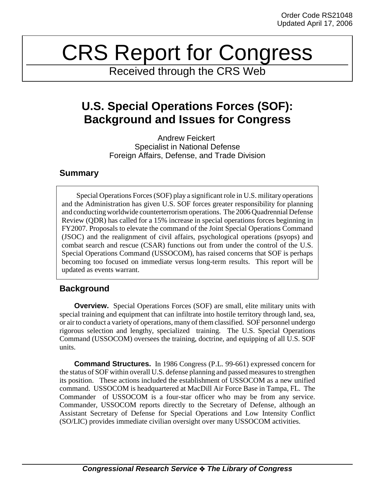# CRS Report for Congress

Received through the CRS Web

# **U.S. Special Operations Forces (SOF): Background and Issues for Congress**

Andrew Feickert Specialist in National Defense Foreign Affairs, Defense, and Trade Division

### **Summary**

Special Operations Forces (SOF) play a significant role in U.S. military operations and the Administration has given U.S. SOF forces greater responsibility for planning and conducting worldwide counterterrorism operations. The 2006 Quadrennial Defense Review (QDR) has called for a 15% increase in special operations forces beginning in FY2007. Proposals to elevate the command of the Joint Special Operations Command (JSOC) and the realignment of civil affairs, psychological operations (psyops) and combat search and rescue (CSAR) functions out from under the control of the U.S. Special Operations Command (USSOCOM), has raised concerns that SOF is perhaps becoming too focused on immediate versus long-term results. This report will be updated as events warrant.

## **Background**

**Overview.** Special Operations Forces (SOF) are small, elite military units with special training and equipment that can infiltrate into hostile territory through land, sea, or air to conduct a variety of operations, many of them classified. SOF personnel undergo rigorous selection and lengthy, specialized training. The U.S. Special Operations Command (USSOCOM) oversees the training, doctrine, and equipping of all U.S. SOF units.

**Command Structures.** In 1986 Congress (P.L. 99-661) expressed concern for the status of SOF within overall U.S. defense planning and passed measures to strengthen its position. These actions included the establishment of USSOCOM as a new unified command. USSOCOM is headquartered at MacDill Air Force Base in Tampa, FL. The Commander of USSOCOM is a four-star officer who may be from any service. Commander, USSOCOM reports directly to the Secretary of Defense, although an Assistant Secretary of Defense for Special Operations and Low Intensity Conflict (SO/LIC) provides immediate civilian oversight over many USSOCOM activities.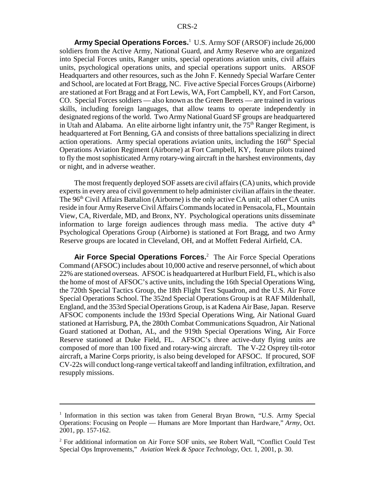**Army Special Operations Forces.**<sup>1</sup> U.S. Army SOF (ARSOF) include 26,000 soldiers from the Active Army, National Guard, and Army Reserve who are organized into Special Forces units, Ranger units, special operations aviation units, civil affairs units, psychological operations units, and special operations support units. ARSOF Headquarters and other resources, such as the John F. Kennedy Special Warfare Center and School, are located at Fort Bragg, NC. Five active Special Forces Groups (Airborne) are stationed at Fort Bragg and at Fort Lewis, WA, Fort Campbell, KY, and Fort Carson, CO. Special Forces soldiers — also known as the Green Berets — are trained in various skills, including foreign languages, that allow teams to operate independently in designated regions of the world. Two Army National Guard SF groups are headquartered in Utah and Alabama. An elite airborne light infantry unit, the  $75<sup>th</sup>$  Ranger Regiment, is headquartered at Fort Benning, GA and consists of three battalions specializing in direct action operations. Army special operations aviation units, including the  $160<sup>th</sup>$  Special Operations Aviation Regiment (Airborne) at Fort Campbell, KY, feature pilots trained to fly the most sophisticated Army rotary-wing aircraft in the harshest environments, day or night, and in adverse weather.

The most frequently deployed SOF assets are civil affairs (CA) units, which provide experts in every area of civil government to help administer civilian affairs in the theater. The  $96<sup>th</sup>$  Civil Affairs Battalion (Airborne) is the only active CA unit; all other CA units reside in four Army Reserve Civil Affairs Commands located in Pensacola, FL, Mountain View, CA, Riverdale, MD, and Bronx, NY. Psychological operations units disseminate information to large foreign audiences through mass media. The active duty  $4<sup>th</sup>$ Psychological Operations Group (Airborne) is stationed at Fort Bragg, and two Army Reserve groups are located in Cleveland, OH, and at Moffett Federal Airfield, CA.

**Air Force Special Operations Forces.**<sup>2</sup> The Air Force Special Operations Command (AFSOC) includes about 10,000 active and reserve personnel, of which about 22% are stationed overseas. AFSOC is headquartered at Hurlburt Field, FL, which is also the home of most of AFSOC's active units, including the 16th Special Operations Wing, the 720th Special Tactics Group, the 18th Flight Test Squadron, and the U.S. Air Force Special Operations School. The 352nd Special Operations Group is at RAF Mildenhall, England, and the 353rd Special Operations Group, is at Kadena Air Base, Japan. Reserve AFSOC components include the 193rd Special Operations Wing, Air National Guard stationed at Harrisburg, PA, the 280th Combat Communications Squadron, Air National Guard stationed at Dothan, AL, and the 919th Special Operations Wing, Air Force Reserve stationed at Duke Field, FL. AFSOC's three active-duty flying units are composed of more than 100 fixed and rotary-wing aircraft. The V-22 Osprey tilt-rotor aircraft, a Marine Corps priority, is also being developed for AFSOC. If procured, SOF CV-22s will conduct long-range vertical takeoff and landing infiltration, exfiltration, and resupply missions.

<sup>&</sup>lt;sup>1</sup> Information in this section was taken from General Bryan Brown, "U.S. Army Special Operations: Focusing on People — Humans are More Important than Hardware," *Army*, Oct. 2001, pp. 157-162.

<sup>&</sup>lt;sup>2</sup> For additional information on Air Force SOF units, see Robert Wall, "Conflict Could Test Special Ops Improvements," *Aviation Week & Space Technology*, Oct. 1, 2001, p. 30.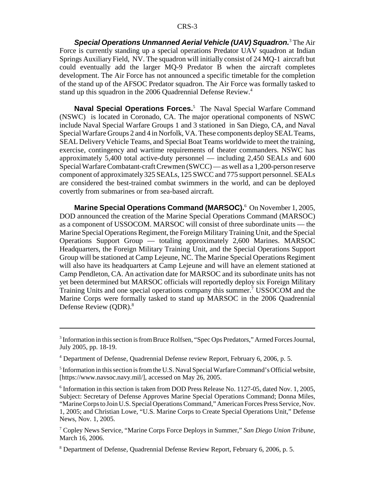**Special Operations Unmanned Aerial Vehicle (UAV) Squadron.**<sup>3</sup> The Air Force is currently standing up a special operations Predator UAV squadron at Indian Springs Auxiliary Field, NV. The squadron will initially consist of 24 MQ-1 aircraft but could eventually add the larger MQ-9 Predator B when the aircraft completes development. The Air Force has not announced a specific timetable for the completion of the stand up of the AFSOC Predator squadron. The Air Force was formally tasked to stand up this squadron in the 2006 Quadrennial Defense Review.<sup>4</sup>

**Naval Special Operations Forces.**<sup>5</sup> The Naval Special Warfare Command (NSWC) is located in Coronado, CA. The major operational components of NSWC include Naval Special Warfare Groups 1 and 3 stationed in San Diego, CA, and Naval Special Warfare Groups 2 and 4 in Norfolk, VA. These components deploy SEAL Teams, SEAL Delivery Vehicle Teams, and Special Boat Teams worldwide to meet the training, exercise, contingency and wartime requirements of theater commanders. NSWC has approximately 5,400 total active-duty personnel — including 2,450 SEALs and 600 Special Warfare Combatant-craft Crewmen (SWCC) — as well as a 1,200-person reserve component of approximately 325 SEALs, 125 SWCC and 775 support personnel. SEALs are considered the best-trained combat swimmers in the world, and can be deployed covertly from submarines or from sea-based aircraft.

**Marine Special Operations Command (MARSOC).**<sup>6</sup> On November 1, 2005, DOD announced the creation of the Marine Special Operations Command (MARSOC) as a component of USSOCOM. MARSOC will consist of three subordinate units — the Marine Special Operations Regiment, the Foreign Military Training Unit, and the Special Operations Support Group — totaling approximately 2,600 Marines. MARSOC Headquarters, the Foreign Military Training Unit, and the Special Operations Support Group will be stationed at Camp Lejeune, NC. The Marine Special Operations Regiment will also have its headquarters at Camp Lejeune and will have an element stationed at Camp Pendleton, CA. An activation date for MARSOC and its subordinate units has not yet been determined but MARSOC officials will reportedly deploy six Foreign Military Training Units and one special operations company this summer.<sup>7</sup> USSOCOM and the Marine Corps were formally tasked to stand up MARSOC in the 2006 Quadrennial Defense Review (QDR).<sup>8</sup>

<sup>&</sup>lt;sup>3</sup> Information in this section is from Bruce Rolfsen, "Spec Ops Predators," Armed Forces Journal, July 2005, pp. 18-19.

<sup>4</sup> Department of Defense, Quadrennial Defense review Report, February 6, 2006, p. 5.

<sup>&</sup>lt;sup>5</sup> Information in this section is from the U.S. Naval Special Warfare Command's Official website, [https://www.navsoc.navy.mil/], accessed on May 26, 2005.

<sup>&</sup>lt;sup>6</sup> Information in this section is taken from DOD Press Release No. 1127-05, dated Nov. 1, 2005, Subject: Secretary of Defense Approves Marine Special Operations Command; Donna Miles, "Marine Corps to Join U.S. Special Operations Command," American Forces Press Service, Nov. 1, 2005; and Christian Lowe, "U.S. Marine Corps to Create Special Operations Unit," Defense News, Nov. 1, 2005.

<sup>7</sup> Copley News Service, "Marine Corps Force Deploys in Summer," *San Diego Union Tribune,* March 16, 2006.

<sup>&</sup>lt;sup>8</sup> Department of Defense, Quadrennial Defense Review Report, February 6, 2006, p. 5.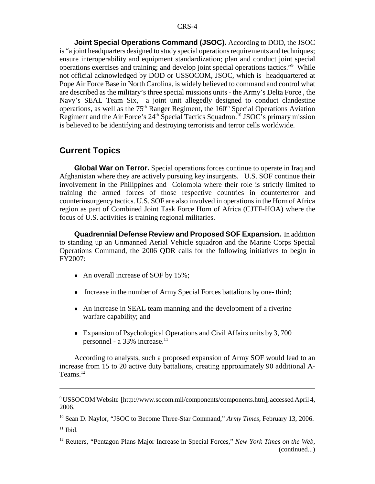**Joint Special Operations Command (JSOC).** According to DOD, the JSOC is "a joint headquarters designed to study special operations requirements and techniques; ensure interoperability and equipment standardization; plan and conduct joint special operations exercises and training; and develop joint special operations tactics."9 While not official acknowledged by DOD or USSOCOM, JSOC, which is headquartered at Pope Air Force Base in North Carolina, is widely believed to command and control what are described as the military's three special missions units - the Army's Delta Force , the Navy's SEAL Team Six, a joint unit allegedly designed to conduct clandestine operations, as well as the  $75<sup>th</sup>$  Ranger Regiment, the  $160<sup>th</sup>$  Special Operations Aviation Regiment and the Air Force's  $24<sup>th</sup>$  Special Tactics Squadron.<sup>10</sup> JSOC's primary mission is believed to be identifying and destroying terrorists and terror cells worldwide.

#### **Current Topics**

**Global War on Terror.** Special operations forces continue to operate in Iraq and Afghanistan where they are actively pursuing key insurgents. U.S. SOF continue their involvement in the Philippines and Colombia where their role is strictly limited to training the armed forces of those respective countries in counterterror and counterinsurgency tactics. U.S. SOF are also involved in operations in the Horn of Africa region as part of Combined Joint Task Force Horn of Africa (CJTF-HOA) where the focus of U.S. activities is training regional militaries.

**Quadrennial Defense Review and Proposed SOF Expansion.** In addition to standing up an Unmanned Aerial Vehicle squadron and the Marine Corps Special Operations Command, the 2006 QDR calls for the following initiatives to begin in FY2007:

- An overall increase of SOF by 15%;
- Increase in the number of Army Special Forces battalions by one-third;
- An increase in SEAL team manning and the development of a riverine warfare capability; and
- Expansion of Psychological Operations and Civil Affairs units by 3,700 personnel - a 33% increase.<sup>11</sup>

According to analysts, such a proposed expansion of Army SOF would lead to an increase from 15 to 20 active duty battalions, creating approximately 90 additional A-Teams.<sup>12</sup>

10 Sean D. Naylor, "JSOC to Become Three-Star Command," *Army Times,* February 13, 2006.

 $11$  Ibid.

<sup>9</sup> USSOCOM Website [http://www.socom.mil/components/components.htm], accessed April 4, 2006.

<sup>12</sup> Reuters, "Pentagon Plans Major Increase in Special Forces," *New York Times on the Web,* (continued...)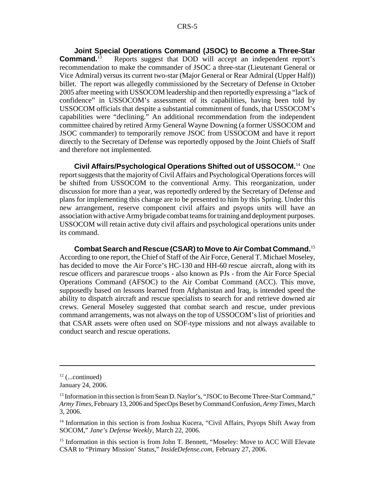**Joint Special Operations Command (JSOC) to Become a Three-Star Command.**<sup>13</sup> Reports suggest that DOD will accept an independent report's recommendation to make the commander of JSOC a three-star (Lieutenant General or Vice Admiral) versus its current two-star (Major General or Rear Admiral (Upper Half)) billet. The report was allegedly commissioned by the Secretary of Defense in October 2005 after meeting with USSOCOM leadership and then reportedly expressing a "lack of confidence" in USSOCOM's assessment of its capabilities, having been told by USSOCOM officials that despite a substantial commitment of funds, that USSOCOM's capabilities were "declining." An additional recommendation from the independent committee chaired by retired Army General Wayne Downing (a former USSOCOM and JSOC commander) to temporarily remove JSOC from USSOCOM and have it report directly to the Secretary of Defense was reportedly opposed by the Joint Chiefs of Staff and therefore not implemented.

**Civil Affairs/Psychological Operations Shifted out of USSOCOM.**14 One report suggests that the majority of Civil Affairs and Psychological Operations forces will be shifted from USSOCOM to the conventional Army. This reorganization, under discussion for more than a year, was reportedly ordered by the Secretary of Defense and plans for implementing this change are to be presented to him by this Spring. Under this new arrangement, reserve component civil affairs and psyops units will have an association with active Army brigade combat teams for training and deployment purposes. USSOCOM will retain active duty civil affairs and psychological operations units under its command.

**Combat Search and Rescue (CSAR) to Move to Air Combat Command.**<sup>15</sup> According to one report, the Chief of Staff of the Air Force, General T. Michael Moseley, has decided to move the Air Force's HC-130 and HH-60 rescue aircraft, along with its rescue officers and pararescue troops - also known as PJs - from the Air Force Special Operations Command (AFSOC) to the Air Combat Command (ACC). This move, supposedly based on lessons learned from Afghanistan and Iraq, is intended speed the ability to dispatch aircraft and rescue specialists to search for and retrieve downed air crews. General Moseley suggested that combat search and rescue, under previous command arrangements, was not always on the top of USSOCOM's list of priorities and that CSAR assets were often used on SOF-type missions and not always available to conduct search and rescue operations.

 $12$  (...continued)

January 24, 2006.

<sup>&</sup>lt;sup>13</sup> Information in this section is from Sean D. Naylor's, "JSOC to Become Three-Star Command," *Army Times,* February 13, 2006 and SpecOps Beset by Command Confusion, *Army Times,* March 3, 2006.

<sup>&</sup>lt;sup>14</sup> Information in this section is from Joshua Kucera, "Civil Affairs, Psyops Shift Away from SOCOM," *Jane's Defense Weekly,* March 22, 2006.

<sup>&</sup>lt;sup>15</sup> Information in this section is from John T. Bennett, "Moseley: Move to ACC Will Elevate CSAR to "Primary Mission' Status," *InsideDefense.com,* February 27, 2006.